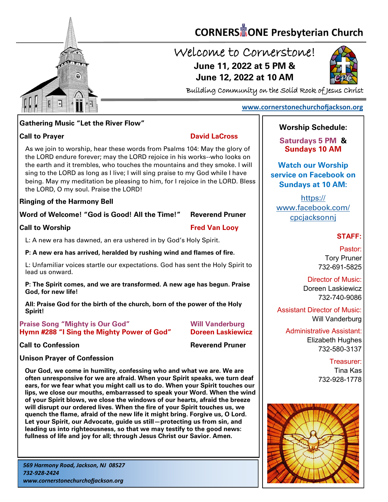

# **CORNERS** TONE Presbyterian Church

## Welcome to Cornerstone! **June 11, 2022 at 5 PM & June 12, 2022 at 10 AM**



Building Community on the Solid Rock of Jesus Christ

#### **[www.cornerstonechurchofjackson.org](http://www.cornerstonechurchofjackson.org)**

#### **Gathering Music "Let the River Flow"**

**Call to Prayer David LaCross** 

 the LORD endure forever; may the LORD rejoice in his works--who looks on As we join to worship, hear these words from Psalms 104: May the glory of the earth and it trembles, who touches the mountains and they smoke. I will sing to the LORD as long as I live; I will sing praise to my God while I have being. May my meditation be pleasing to him, for I rejoice in the LORD. Bless the LORD, O my soul. Praise the LORD!

#### **Ringing of the Harmony Bell**

**Word of Welcome! "God is Good! All the Time!" Reverend Pruner**

**Call to Worship Call to Worship Call The Call Construction Call The Call Construction Call The Construction Call The Construction Call The Construction Call The Construction Call The Construction Call The Construction Con** 

L: A new era has dawned, an era ushered in by God's Holy Spirit.

**P: A new era has arrived, heralded by rushing wind and flames of fire.**

L: Unfamiliar voices startle our expectations. God has sent the Holy Spirit to lead us onward.

**P: The Spirit comes, and we are transformed. A new age has begun. Praise God, for new life!**

**All: Praise God for the birth of the church, born of the power of the Holy Spirit!**

#### **Praise Song "Mighty is Our God" Will Vanderburg Hymn #288 "I Sing the Mighty Power of God" Doreen Laskiewicz**

**Call to Confession Reverend Pruner** 

#### **Unison Prayer of Confession**

**Our God, we come in humility, confessing who and what we are. We are often unresponsive for we are afraid. When your Spirit speaks, we turn deaf ears, for we fear what you might call us to do. When your Spirit touches our lips, we close our mouths, embarrassed to speak your Word. When the wind of your Spirit blows, we close the windows of our hearts, afraid the breeze will disrupt our ordered lives. When the fire of your Spirit touches us, we quench the flame, afraid of the new life it might bring. Forgive us, O Lord. Let your Spirit, our Advocate, guide us still—protecting us from sin, and leading us into righteousness, so that we may testify to the good news: fullness of life and joy for all; through Jesus Christ our Savior. Amen.**

### **Worship Schedule:**

**Saturdays 5 PM & Sundays 10 AM**

**Watch our Worship service on Facebook on Sundays at 10 AM:**

[https://](https://www.facebook.com/cpcjacksonnj) [www.facebook.com/](https://www.facebook.com/cpcjacksonnj) [cpcjacksonnj](https://www.facebook.com/cpcjacksonnj)

### **STAFF:**

Pastor: Tory Pruner 732-691-5825

Director of Music: Doreen Laskiewicz 732-740-9086

Assistant Director of Music: Will Vanderburg

Administrative Assistant: Elizabeth Hughes 732-580-3137

> Treasurer: Tina Kas 732-928-1778